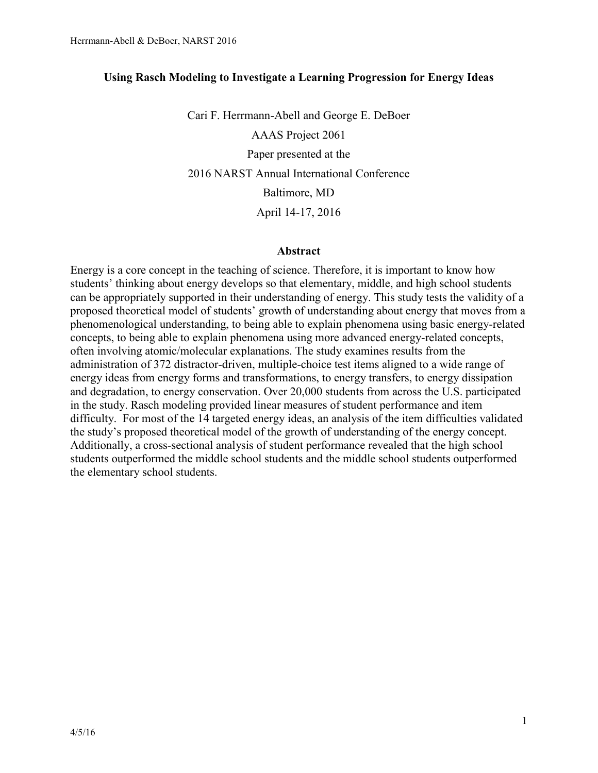# **Using Rasch Modeling to Investigate a Learning Progression for Energy Ideas**

Cari F. Herrmann-Abell and George E. DeBoer AAAS Project 2061 Paper presented at the 2016 NARST Annual International Conference Baltimore, MD April 14-17, 2016

#### **Abstract**

Energy is a core concept in the teaching of science. Therefore, it is important to know how students' thinking about energy develops so that elementary, middle, and high school students can be appropriately supported in their understanding of energy. This study tests the validity of a proposed theoretical model of students' growth of understanding about energy that moves from a phenomenological understanding, to being able to explain phenomena using basic energy-related concepts, to being able to explain phenomena using more advanced energy-related concepts, often involving atomic/molecular explanations. The study examines results from the administration of 372 distractor-driven, multiple-choice test items aligned to a wide range of energy ideas from energy forms and transformations, to energy transfers, to energy dissipation and degradation, to energy conservation. Over 20,000 students from across the U.S. participated in the study. Rasch modeling provided linear measures of student performance and item difficulty. For most of the 14 targeted energy ideas, an analysis of the item difficulties validated the study's proposed theoretical model of the growth of understanding of the energy concept. Additionally, a cross-sectional analysis of student performance revealed that the high school students outperformed the middle school students and the middle school students outperformed the elementary school students.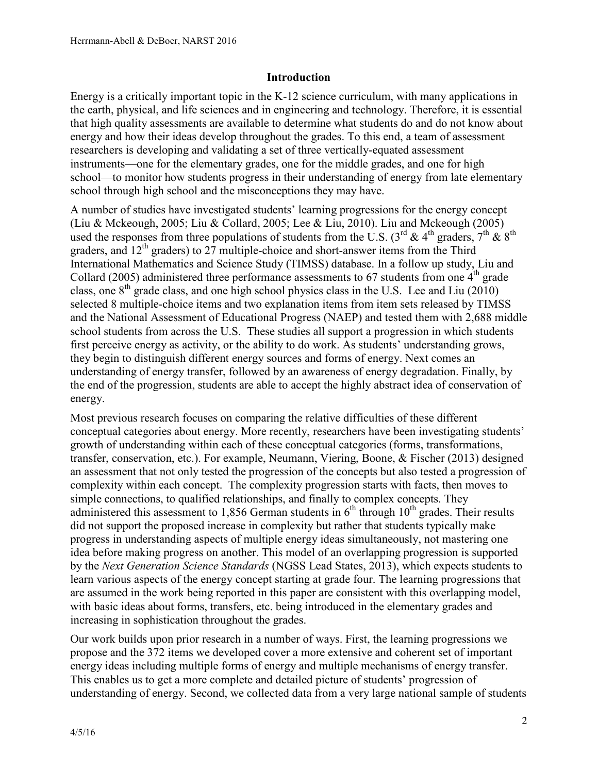# **Introduction**

Energy is a critically important topic in the K-12 science curriculum, with many applications in the earth, physical, and life sciences and in engineering and technology. Therefore, it is essential that high quality assessments are available to determine what students do and do not know about energy and how their ideas develop throughout the grades. To this end, a team of assessment researchers is developing and validating a set of three vertically-equated assessment instruments—one for the elementary grades, one for the middle grades, and one for high school—to monitor how students progress in their understanding of energy from late elementary school through high school and the misconceptions they may have.

A number of studies have investigated students' learning progressions for the energy concept (Liu & Mckeough, 2005; Liu & Collard, 2005; Lee & Liu, 2010). Liu and Mckeough (2005) used the responses from three populations of students from the U.S. (3<sup>rd</sup> & 4<sup>th</sup> graders, 7<sup>th</sup> & 8<sup>th</sup> graders, and  $12<sup>th</sup>$  graders) to 27 multiple-choice and short-answer items from the Third International Mathematics and Science Study (TIMSS) database. In a follow up study, Liu and Collard (2005) administered three performance assessments to 67 students from one  $4<sup>th</sup>$  grade class, one  $8<sup>th</sup>$  grade class, and one high school physics class in the U.S. Lee and Liu (2010) selected 8 multiple-choice items and two explanation items from item sets released by TIMSS and the National Assessment of Educational Progress (NAEP) and tested them with 2,688 middle school students from across the U.S. These studies all support a progression in which students first perceive energy as activity, or the ability to do work. As students' understanding grows, they begin to distinguish different energy sources and forms of energy. Next comes an understanding of energy transfer, followed by an awareness of energy degradation. Finally, by the end of the progression, students are able to accept the highly abstract idea of conservation of energy.

Most previous research focuses on comparing the relative difficulties of these different conceptual categories about energy. More recently, researchers have been investigating students' growth of understanding within each of these conceptual categories (forms, transformations, transfer, conservation, etc.). For example, Neumann, Viering, Boone, & Fischer (2013) designed an assessment that not only tested the progression of the concepts but also tested a progression of complexity within each concept. The complexity progression starts with facts, then moves to simple connections, to qualified relationships, and finally to complex concepts. They administered this assessment to 1.856 German students in  $6<sup>th</sup>$  through 10<sup>th</sup> grades. Their results did not support the proposed increase in complexity but rather that students typically make progress in understanding aspects of multiple energy ideas simultaneously, not mastering one idea before making progress on another. This model of an overlapping progression is supported by the *Next Generation Science Standards* (NGSS Lead States, 2013), which expects students to learn various aspects of the energy concept starting at grade four. The learning progressions that are assumed in the work being reported in this paper are consistent with this overlapping model, with basic ideas about forms, transfers, etc. being introduced in the elementary grades and increasing in sophistication throughout the grades.

Our work builds upon prior research in a number of ways. First, the learning progressions we propose and the 372 items we developed cover a more extensive and coherent set of important energy ideas including multiple forms of energy and multiple mechanisms of energy transfer. This enables us to get a more complete and detailed picture of students' progression of understanding of energy. Second, we collected data from a very large national sample of students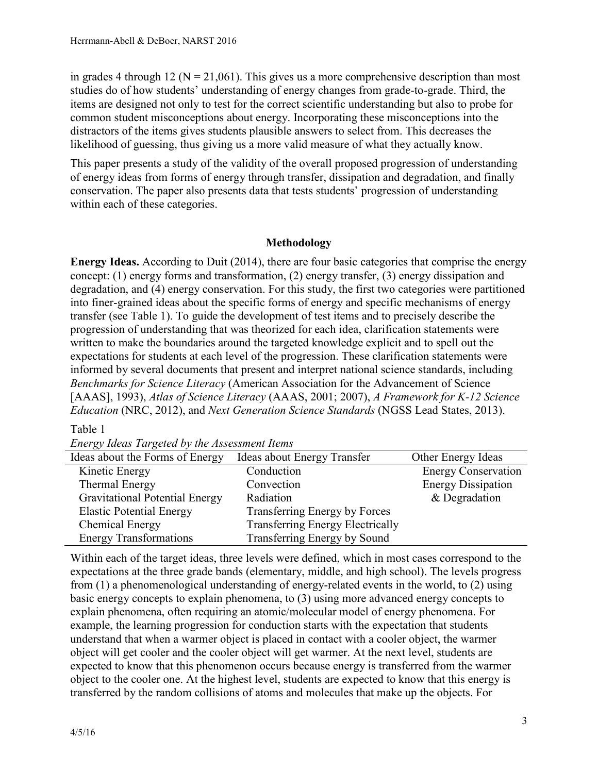in grades 4 through 12 ( $N = 21,061$ ). This gives us a more comprehensive description than most studies do of how students' understanding of energy changes from grade-to-grade. Third, the items are designed not only to test for the correct scientific understanding but also to probe for common student misconceptions about energy. Incorporating these misconceptions into the distractors of the items gives students plausible answers to select from. This decreases the likelihood of guessing, thus giving us a more valid measure of what they actually know.

This paper presents a study of the validity of the overall proposed progression of understanding of energy ideas from forms of energy through transfer, dissipation and degradation, and finally conservation. The paper also presents data that tests students' progression of understanding within each of these categories.

# **Methodology**

**Energy Ideas.** According to Duit (2014), there are four basic categories that comprise the energy concept: (1) energy forms and transformation, (2) energy transfer, (3) energy dissipation and degradation, and (4) energy conservation. For this study, the first two categories were partitioned into finer-grained ideas about the specific forms of energy and specific mechanisms of energy transfer (see Table 1). To guide the development of test items and to precisely describe the progression of understanding that was theorized for each idea, clarification statements were written to make the boundaries around the targeted knowledge explicit and to spell out the expectations for students at each level of the progression. These clarification statements were informed by several documents that present and interpret national science standards, including *Benchmarks for Science Literacy* (American Association for the Advancement of Science [AAAS], 1993), *Atlas of Science Literacy* (AAAS, 2001; 2007), *A Framework for K-12 Science Education* (NRC, 2012), and *Next Generation Science Standards* (NGSS Lead States, 2013).

### Table 1

*Energy Ideas Targeted by the Assessment Items*

| Ideas about the Forms of Energy       | Ideas about Energy Transfer             | Other Energy Ideas         |
|---------------------------------------|-----------------------------------------|----------------------------|
| Kinetic Energy                        | Conduction                              | <b>Energy Conservation</b> |
| Thermal Energy                        | Convection                              | <b>Energy Dissipation</b>  |
| <b>Gravitational Potential Energy</b> | Radiation                               | & Degradation              |
| <b>Elastic Potential Energy</b>       | Transferring Energy by Forces           |                            |
| Chemical Energy                       | <b>Transferring Energy Electrically</b> |                            |
| <b>Energy Transformations</b>         | Transferring Energy by Sound            |                            |

Within each of the target ideas, three levels were defined, which in most cases correspond to the expectations at the three grade bands (elementary, middle, and high school). The levels progress from (1) a phenomenological understanding of energy-related events in the world, to (2) using basic energy concepts to explain phenomena, to (3) using more advanced energy concepts to explain phenomena, often requiring an atomic/molecular model of energy phenomena. For example, the learning progression for conduction starts with the expectation that students understand that when a warmer object is placed in contact with a cooler object, the warmer object will get cooler and the cooler object will get warmer. At the next level, students are expected to know that this phenomenon occurs because energy is transferred from the warmer object to the cooler one. At the highest level, students are expected to know that this energy is transferred by the random collisions of atoms and molecules that make up the objects. For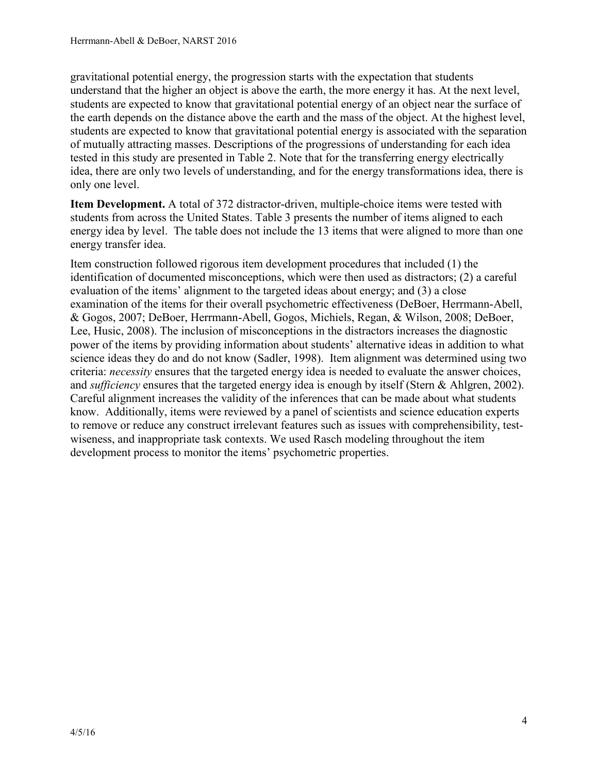gravitational potential energy, the progression starts with the expectation that students understand that the higher an object is above the earth, the more energy it has. At the next level, students are expected to know that gravitational potential energy of an object near the surface of the earth depends on the distance above the earth and the mass of the object. At the highest level, students are expected to know that gravitational potential energy is associated with the separation of mutually attracting masses. Descriptions of the progressions of understanding for each idea tested in this study are presented in Table 2. Note that for the transferring energy electrically idea, there are only two levels of understanding, and for the energy transformations idea, there is only one level.

**Item Development.** A total of 372 distractor-driven, multiple-choice items were tested with students from across the United States. Table 3 presents the number of items aligned to each energy idea by level. The table does not include the 13 items that were aligned to more than one energy transfer idea.

Item construction followed rigorous item development procedures that included (1) the identification of documented misconceptions, which were then used as distractors; (2) a careful evaluation of the items' alignment to the targeted ideas about energy; and (3) a close examination of the items for their overall psychometric effectiveness (DeBoer, Herrmann-Abell, & Gogos, 2007; DeBoer, Herrmann-Abell, Gogos, Michiels, Regan, & Wilson, 2008; DeBoer, Lee, Husic, 2008). The inclusion of misconceptions in the distractors increases the diagnostic power of the items by providing information about students' alternative ideas in addition to what science ideas they do and do not know (Sadler, 1998). Item alignment was determined using two criteria: *necessity* ensures that the targeted energy idea is needed to evaluate the answer choices, and *sufficiency* ensures that the targeted energy idea is enough by itself (Stern & Ahlgren, 2002). Careful alignment increases the validity of the inferences that can be made about what students know. Additionally, items were reviewed by a panel of scientists and science education experts to remove or reduce any construct irrelevant features such as issues with comprehensibility, testwiseness, and inappropriate task contexts. We used Rasch modeling throughout the item development process to monitor the items' psychometric properties.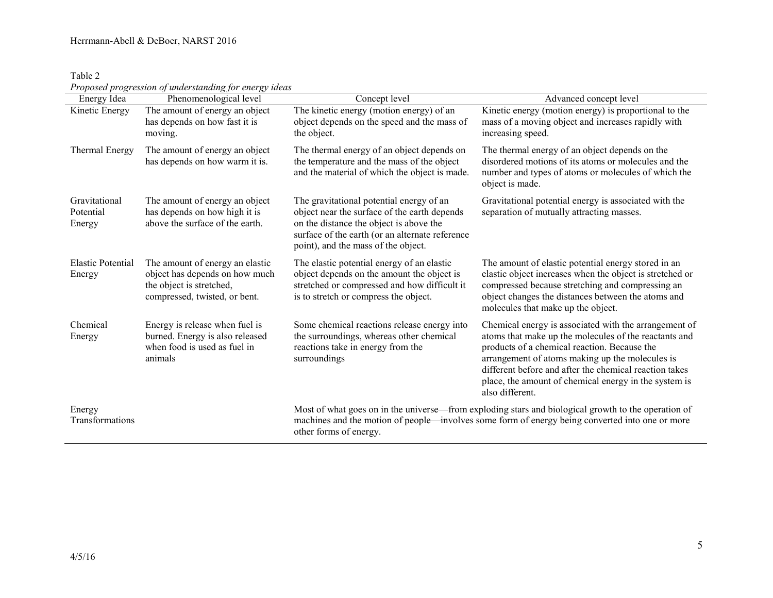| Table 2 |                                                        |  |
|---------|--------------------------------------------------------|--|
|         | Proposed progression of understanding for energy ideas |  |

| Energy Idea                          | croposed progression of understanding for energy ideas<br>Phenomenological level                                               | Concept level                                                                                                                                                                                                                 | Advanced concept level                                                                                                                                                                                                                                                                                                                                  |
|--------------------------------------|--------------------------------------------------------------------------------------------------------------------------------|-------------------------------------------------------------------------------------------------------------------------------------------------------------------------------------------------------------------------------|---------------------------------------------------------------------------------------------------------------------------------------------------------------------------------------------------------------------------------------------------------------------------------------------------------------------------------------------------------|
| Kinetic Energy                       | The amount of energy an object<br>has depends on how fast it is<br>moving.                                                     | The kinetic energy (motion energy) of an<br>object depends on the speed and the mass of<br>the object.                                                                                                                        | Kinetic energy (motion energy) is proportional to the<br>mass of a moving object and increases rapidly with<br>increasing speed.                                                                                                                                                                                                                        |
| Thermal Energy                       | The amount of energy an object<br>has depends on how warm it is.                                                               | The thermal energy of an object depends on<br>the temperature and the mass of the object<br>and the material of which the object is made.                                                                                     | The thermal energy of an object depends on the<br>disordered motions of its atoms or molecules and the<br>number and types of atoms or molecules of which the<br>object is made.                                                                                                                                                                        |
| Gravitational<br>Potential<br>Energy | The amount of energy an object<br>has depends on how high it is<br>above the surface of the earth.                             | The gravitational potential energy of an<br>object near the surface of the earth depends<br>on the distance the object is above the<br>surface of the earth (or an alternate reference<br>point), and the mass of the object. | Gravitational potential energy is associated with the<br>separation of mutually attracting masses.                                                                                                                                                                                                                                                      |
| <b>Elastic Potential</b><br>Energy   | The amount of energy an elastic<br>object has depends on how much<br>the object is stretched,<br>compressed, twisted, or bent. | The elastic potential energy of an elastic<br>object depends on the amount the object is<br>stretched or compressed and how difficult it<br>is to stretch or compress the object.                                             | The amount of elastic potential energy stored in an<br>elastic object increases when the object is stretched or<br>compressed because stretching and compressing an<br>object changes the distances between the atoms and<br>molecules that make up the object.                                                                                         |
| Chemical<br>Energy                   | Energy is release when fuel is<br>burned. Energy is also released<br>when food is used as fuel in<br>animals                   | Some chemical reactions release energy into<br>the surroundings, whereas other chemical<br>reactions take in energy from the<br>surroundings                                                                                  | Chemical energy is associated with the arrangement of<br>atoms that make up the molecules of the reactants and<br>products of a chemical reaction. Because the<br>arrangement of atoms making up the molecules is<br>different before and after the chemical reaction takes<br>place, the amount of chemical energy in the system is<br>also different. |
| Energy<br>Transformations            |                                                                                                                                | other forms of energy.                                                                                                                                                                                                        | Most of what goes on in the universe—from exploding stars and biological growth to the operation of<br>machines and the motion of people—involves some form of energy being converted into one or more                                                                                                                                                  |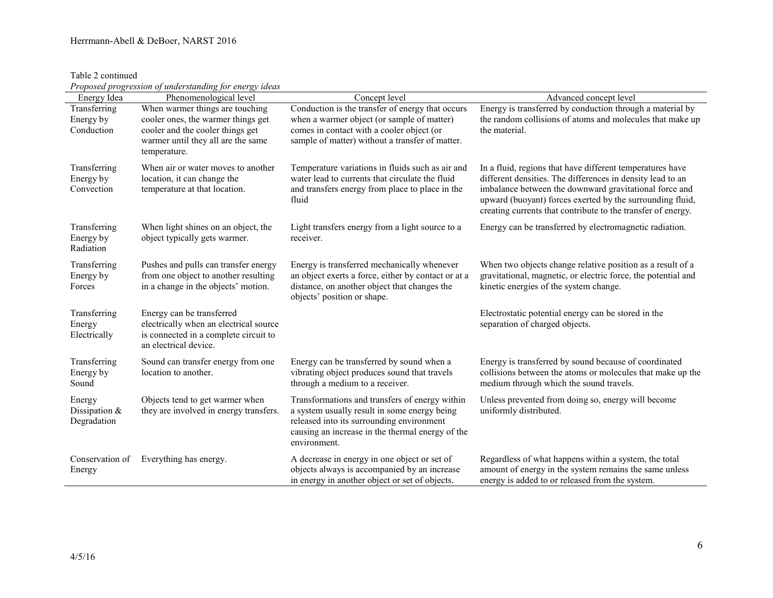### Herrmann-Abell & DeBoer, NARST 2016

Table 2 continued

|  |  | Proposed progression of understanding for energy ideas |
|--|--|--------------------------------------------------------|
|  |  |                                                        |

| Energy Idea                              | Troposea progression of unaerstanding for energy tacas<br>Phenomenological level                                                                                | Concept level                                                                                                                                                                                                   | Advanced concept level                                                                                                                                                                                                                                                                                         |
|------------------------------------------|-----------------------------------------------------------------------------------------------------------------------------------------------------------------|-----------------------------------------------------------------------------------------------------------------------------------------------------------------------------------------------------------------|----------------------------------------------------------------------------------------------------------------------------------------------------------------------------------------------------------------------------------------------------------------------------------------------------------------|
| Transferring<br>Energy by<br>Conduction  | When warmer things are touching<br>cooler ones, the warmer things get<br>cooler and the cooler things get<br>warmer until they all are the same<br>temperature. | Conduction is the transfer of energy that occurs<br>when a warmer object (or sample of matter)<br>comes in contact with a cooler object (or<br>sample of matter) without a transfer of matter.                  | Energy is transferred by conduction through a material by<br>the random collisions of atoms and molecules that make up<br>the material.                                                                                                                                                                        |
| Transferring<br>Energy by<br>Convection  | When air or water moves to another<br>location, it can change the<br>temperature at that location.                                                              | Temperature variations in fluids such as air and<br>water lead to currents that circulate the fluid<br>and transfers energy from place to place in the<br>fluid                                                 | In a fluid, regions that have different temperatures have<br>different densities. The differences in density lead to an<br>imbalance between the downward gravitational force and<br>upward (buoyant) forces exerted by the surrounding fluid,<br>creating currents that contribute to the transfer of energy. |
| Transferring<br>Energy by<br>Radiation   | When light shines on an object, the<br>object typically gets warmer.                                                                                            | Light transfers energy from a light source to a<br>receiver.                                                                                                                                                    | Energy can be transferred by electromagnetic radiation.                                                                                                                                                                                                                                                        |
| Transferring<br>Energy by<br>Forces      | Pushes and pulls can transfer energy<br>from one object to another resulting<br>in a change in the objects' motion.                                             | Energy is transferred mechanically whenever<br>an object exerts a force, either by contact or at a<br>distance, on another object that changes the<br>objects' position or shape.                               | When two objects change relative position as a result of a<br>gravitational, magnetic, or electric force, the potential and<br>kinetic energies of the system change.                                                                                                                                          |
| Transferring<br>Energy<br>Electrically   | Energy can be transferred<br>electrically when an electrical source<br>is connected in a complete circuit to<br>an electrical device.                           |                                                                                                                                                                                                                 | Electrostatic potential energy can be stored in the<br>separation of charged objects.                                                                                                                                                                                                                          |
| Transferring<br>Energy by<br>Sound       | Sound can transfer energy from one<br>location to another.                                                                                                      | Energy can be transferred by sound when a<br>vibrating object produces sound that travels<br>through a medium to a receiver.                                                                                    | Energy is transferred by sound because of coordinated<br>collisions between the atoms or molecules that make up the<br>medium through which the sound travels.                                                                                                                                                 |
| Energy<br>Dissipation $&$<br>Degradation | Objects tend to get warmer when<br>they are involved in energy transfers.                                                                                       | Transformations and transfers of energy within<br>a system usually result in some energy being<br>released into its surrounding environment<br>causing an increase in the thermal energy of the<br>environment. | Unless prevented from doing so, energy will become<br>uniformly distributed.                                                                                                                                                                                                                                   |
| Conservation of<br>Energy                | Everything has energy.                                                                                                                                          | A decrease in energy in one object or set of<br>objects always is accompanied by an increase<br>in energy in another object or set of objects.                                                                  | Regardless of what happens within a system, the total<br>amount of energy in the system remains the same unless<br>energy is added to or released from the system.                                                                                                                                             |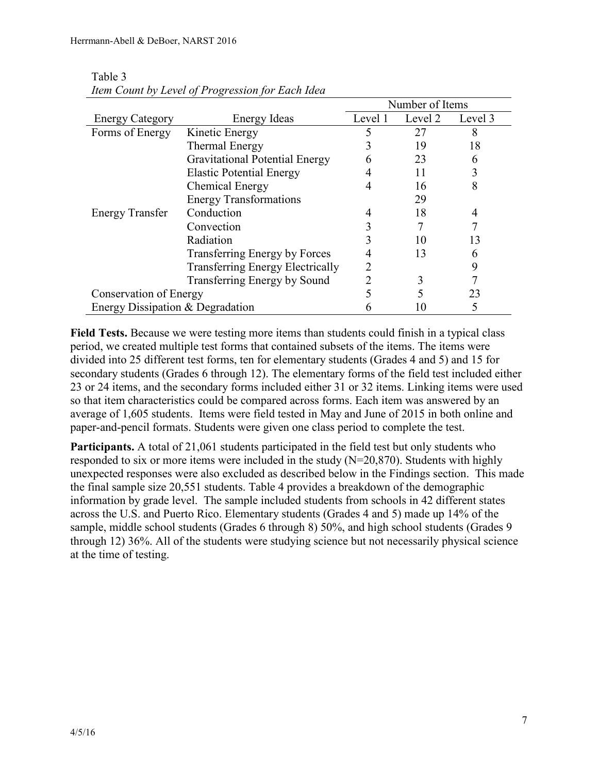|                                  |                                         | Number of Items |         |         |  |
|----------------------------------|-----------------------------------------|-----------------|---------|---------|--|
| <b>Energy Category</b>           | <b>Energy Ideas</b>                     | Level 1         | Level 2 | Level 3 |  |
| Forms of Energy                  | Kinetic Energy                          |                 | 27      | 8       |  |
|                                  | Thermal Energy                          |                 | 19      | 18      |  |
|                                  | <b>Gravitational Potential Energy</b>   | 6               | 23      | h       |  |
|                                  | <b>Elastic Potential Energy</b>         |                 | 11      | 3       |  |
|                                  | <b>Chemical Energy</b>                  | 4               | 16      | 8       |  |
|                                  | <b>Energy Transformations</b>           |                 | 29      |         |  |
| <b>Energy Transfer</b>           | Conduction                              |                 | 18      | 4       |  |
|                                  | Convection                              |                 |         |         |  |
|                                  | Radiation                               |                 | 10      | 13      |  |
|                                  | Transferring Energy by Forces           |                 | 13      | 6       |  |
|                                  | <b>Transferring Energy Electrically</b> |                 |         | 9       |  |
|                                  | Transferring Energy by Sound            |                 | 3       |         |  |
| Conservation of Energy           |                                         |                 |         | 23      |  |
| Energy Dissipation & Degradation |                                         |                 |         |         |  |

Table 3 *Item Count by Level of Progression for Each Idea*

**Field Tests.** Because we were testing more items than students could finish in a typical class period, we created multiple test forms that contained subsets of the items. The items were divided into 25 different test forms, ten for elementary students (Grades 4 and 5) and 15 for secondary students (Grades 6 through 12). The elementary forms of the field test included either 23 or 24 items, and the secondary forms included either 31 or 32 items. Linking items were used so that item characteristics could be compared across forms. Each item was answered by an average of 1,605 students. Items were field tested in May and June of 2015 in both online and paper-and-pencil formats. Students were given one class period to complete the test.

**Participants.** A total of 21,061 students participated in the field test but only students who responded to six or more items were included in the study  $(N=20,870)$ . Students with highly unexpected responses were also excluded as described below in the Findings section. This made the final sample size 20,551 students. Table 4 provides a breakdown of the demographic information by grade level. The sample included students from schools in 42 different states across the U.S. and Puerto Rico. Elementary students (Grades 4 and 5) made up 14% of the sample, middle school students (Grades 6 through 8) 50%, and high school students (Grades 9 through 12) 36%. All of the students were studying science but not necessarily physical science at the time of testing.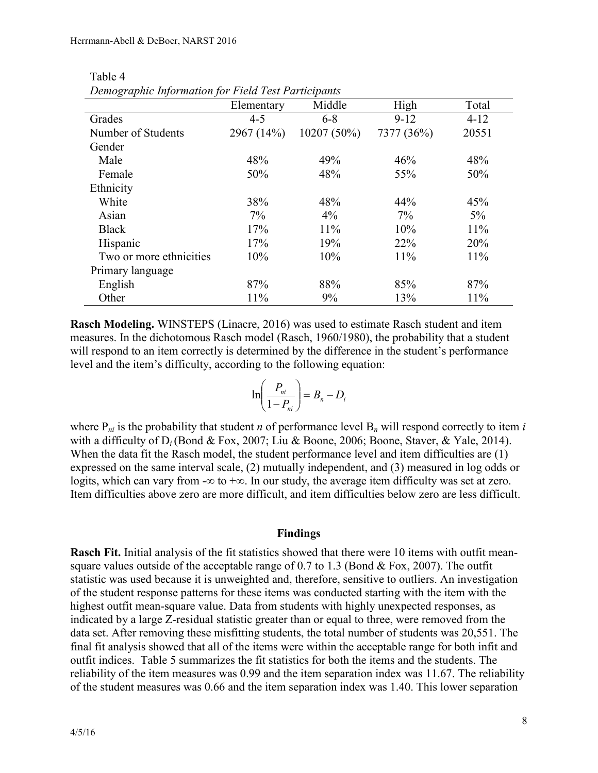| Demographic Information for I tela Test I articipants |            |               |            |          |
|-------------------------------------------------------|------------|---------------|------------|----------|
|                                                       | Elementary | Middle        | High       | Total    |
| Grades                                                | $4 - 5$    | $6 - 8$       | $9 - 12$   | $4 - 12$ |
| Number of Students                                    | 2967 (14%) | $10207(50\%)$ | 7377 (36%) | 20551    |
| Gender                                                |            |               |            |          |
| Male                                                  | 48%        | 49%           | 46%        | 48%      |
| Female                                                | 50%        | 48%           | 55%        | 50%      |
| Ethnicity                                             |            |               |            |          |
| White                                                 | 38%        | 48%           | 44%        | 45%      |
| Asian                                                 | $7\%$      | $4\%$         | $7\%$      | $5\%$    |
| <b>Black</b>                                          | 17%        | 11%           | 10%        | 11%      |
| Hispanic                                              | 17%        | 19%           | 22%        | 20%      |
| Two or more ethnicities                               | 10%        | 10%           | 11%        | 11%      |
| Primary language                                      |            |               |            |          |
| English                                               | 87%        | 88%           | 85%        | 87%      |
| Other                                                 | 11%        | 9%            | 13%        | 11%      |

Table 4 *Demographic Information for Field Test Participants*

**Rasch Modeling.** WINSTEPS (Linacre, 2016) was used to estimate Rasch student and item measures. In the dichotomous Rasch model (Rasch, 1960/1980), the probability that a student will respond to an item correctly is determined by the difference in the student's performance level and the item's difficulty, according to the following equation:

$$
\ln\left(\frac{P_{ni}}{1-P_{ni}}\right) = B_n - D_i
$$

where  $P_{ni}$  is the probability that student *n* of performance level  $B_n$  will respond correctly to item *i* with a difficulty of  $D_i$  (Bond & Fox, 2007; Liu & Boone, 2006; Boone, Staver, & Yale, 2014). When the data fit the Rasch model, the student performance level and item difficulties are (1) expressed on the same interval scale, (2) mutually independent, and (3) measured in log odds or logits, which can vary from - $\infty$  to + $\infty$ . In our study, the average item difficulty was set at zero. Item difficulties above zero are more difficult, and item difficulties below zero are less difficult.

### **Findings**

**Rasch Fit.** Initial analysis of the fit statistics showed that there were 10 items with outfit meansquare values outside of the acceptable range of  $0.7$  to  $1.3$  (Bond & Fox, 2007). The outfit statistic was used because it is unweighted and, therefore, sensitive to outliers. An investigation of the student response patterns for these items was conducted starting with the item with the highest outfit mean-square value. Data from students with highly unexpected responses, as indicated by a large Z-residual statistic greater than or equal to three, were removed from the data set. After removing these misfitting students, the total number of students was 20,551. The final fit analysis showed that all of the items were within the acceptable range for both infit and outfit indices. Table 5 summarizes the fit statistics for both the items and the students. The reliability of the item measures was 0.99 and the item separation index was 11.67. The reliability of the student measures was 0.66 and the item separation index was 1.40. This lower separation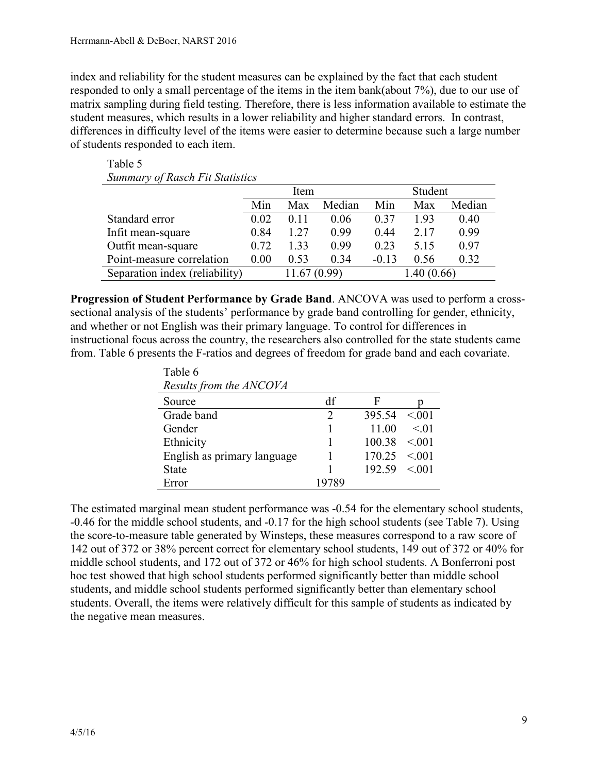Table 5

index and reliability for the student measures can be explained by the fact that each student responded to only a small percentage of the items in the item bank(about 7%), due to our use of matrix sampling during field testing. Therefore, there is less information available to estimate the student measures, which results in a lower reliability and higher standard errors. In contrast, differences in difficulty level of the items were easier to determine because such a large number of students responded to each item.

| <b>Summary of Rasch Fit Statistics</b> |                                              |      |      |         |       |      |  |
|----------------------------------------|----------------------------------------------|------|------|---------|-------|------|--|
|                                        | Student<br>Item                              |      |      |         |       |      |  |
|                                        | Median<br>Median<br>Min<br>Min<br>Max<br>Max |      |      |         |       |      |  |
| Standard error                         | 0.02                                         | 0.11 | 0.06 | 0.37    | 1.93  | 0.40 |  |
| Infit mean-square                      | 0.84                                         | 1.27 | 0.99 | 0.44    | 2 1 7 | 0.99 |  |
| Outfit mean-square                     | 0.72                                         | 1.33 | 0.99 | 0.23    | 5.15  | 0.97 |  |
| Point-measure correlation              | 0.00                                         | 0.53 | 0.34 | $-0.13$ | 0.56  | 0.32 |  |
| Separation index (reliability)         | 1.40(0.66)<br>11.67(0.99)                    |      |      |         |       |      |  |

**Progression of Student Performance by Grade Band**. ANCOVA was used to perform a crosssectional analysis of the students' performance by grade band controlling for gender, ethnicity, and whether or not English was their primary language. To control for differences in instructional focus across the country, the researchers also controlled for the state students came from. Table 6 presents the F-ratios and degrees of freedom for grade band and each covariate.

| Table 6<br>Results from the ANCOVA |    |        |           |
|------------------------------------|----|--------|-----------|
| Source                             | df | F      |           |
| Grade band                         | っ  | 395.54 | < 0.01    |
| Gender                             |    | 11.00  | $\leq 01$ |
| Ethnicity                          |    | 100.38 | < 0.01    |
| English as primary language        |    | 170.25 | < 0.01    |
| <b>State</b>                       |    | 192.59 | < 0.01    |
| Error                              |    |        |           |

The estimated marginal mean student performance was -0.54 for the elementary school students, -0.46 for the middle school students, and -0.17 for the high school students (see Table 7). Using the score-to-measure table generated by Winsteps, these measures correspond to a raw score of 142 out of 372 or 38% percent correct for elementary school students, 149 out of 372 or 40% for middle school students, and 172 out of 372 or 46% for high school students. A Bonferroni post hoc test showed that high school students performed significantly better than middle school students, and middle school students performed significantly better than elementary school students. Overall, the items were relatively difficult for this sample of students as indicated by the negative mean measures.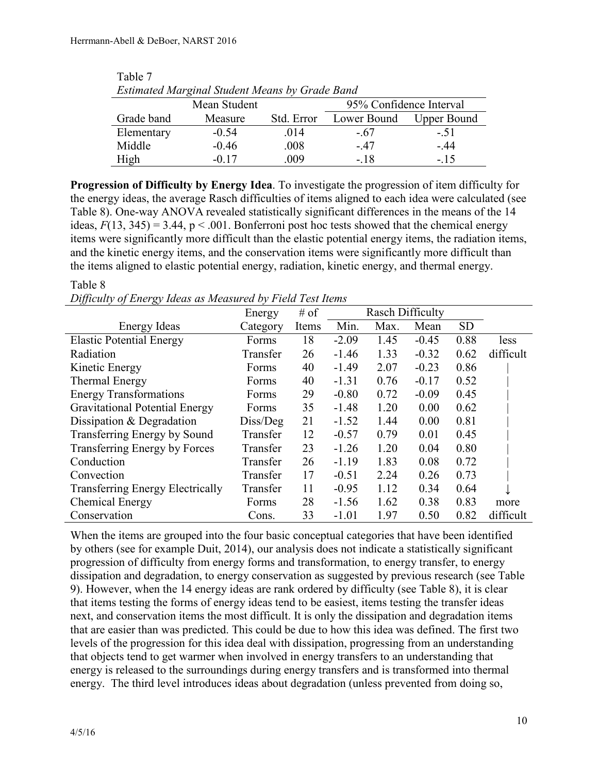| Estimated Marginal Student Means by Grade Band |         |            |             |                    |  |  |
|------------------------------------------------|---------|------------|-------------|--------------------|--|--|
| 95% Confidence Interval<br>Mean Student        |         |            |             |                    |  |  |
| Grade band                                     | Measure | Std. Error | Lower Bound | <b>Upper Bound</b> |  |  |
| Elementary                                     | $-0.54$ | 014        | - 67        | $-51$              |  |  |
| Middle                                         | $-0.46$ | .008       | - 47        | $-.44$             |  |  |
| High                                           | $-0.17$ | .009       | - 18        | $-.15$             |  |  |

| Table 7                                        |  |
|------------------------------------------------|--|
| Estimated Marginal Student Means by Grade Band |  |

**Progression of Difficulty by Energy Idea**. To investigate the progression of item difficulty for the energy ideas, the average Rasch difficulties of items aligned to each idea were calculated (see Table 8). One-way ANOVA revealed statistically significant differences in the means of the 14 ideas,  $F(13, 345) = 3.44$ ,  $p < .001$ . Bonferroni post hoc tests showed that the chemical energy items were significantly more difficult than the elastic potential energy items, the radiation items, and the kinetic energy items, and the conservation items were significantly more difficult than the items aligned to elastic potential energy, radiation, kinetic energy, and thermal energy.

### Table 8

*Difficulty of Energy Ideas as Measured by Field Test Items*

|                                         | Energy   | $#$ of |         | <b>Rasch Difficulty</b> |         |           |           |
|-----------------------------------------|----------|--------|---------|-------------------------|---------|-----------|-----------|
| Energy Ideas                            | Category | Items  | Min.    | Max.                    | Mean    | <b>SD</b> |           |
| <b>Elastic Potential Energy</b>         | Forms    | 18     | $-2.09$ | 1.45                    | $-0.45$ | 0.88      | less      |
| Radiation                               | Transfer | 26     | $-1.46$ | 1.33                    | $-0.32$ | 0.62      | difficult |
| Kinetic Energy                          | Forms    | 40     | $-1.49$ | 2.07                    | $-0.23$ | 0.86      |           |
| Thermal Energy                          | Forms    | 40     | $-1.31$ | 0.76                    | $-0.17$ | 0.52      |           |
| <b>Energy Transformations</b>           | Forms    | 29     | $-0.80$ | 0.72                    | $-0.09$ | 0.45      |           |
| <b>Gravitational Potential Energy</b>   | Forms    | 35     | $-1.48$ | 1.20                    | 0.00    | 0.62      |           |
| Dissipation & Degradation               | Diss/Deg | 21     | $-1.52$ | 1.44                    | 0.00    | 0.81      |           |
| Transferring Energy by Sound            | Transfer | 12     | $-0.57$ | 0.79                    | 0.01    | 0.45      |           |
| Transferring Energy by Forces           | Transfer | 23     | $-1.26$ | 1.20                    | 0.04    | 0.80      |           |
| Conduction                              | Transfer | 26     | $-1.19$ | 1.83                    | 0.08    | 0.72      |           |
| Convection                              | Transfer | 17     | $-0.51$ | 2.24                    | 0.26    | 0.73      |           |
| <b>Transferring Energy Electrically</b> | Transfer | 11     | $-0.95$ | 1.12                    | 0.34    | 0.64      |           |
| Chemical Energy                         | Forms    | 28     | $-1.56$ | 1.62                    | 0.38    | 0.83      | more      |
| Conservation                            | Cons.    | 33     | $-1.01$ | 1.97                    | 0.50    | 0.82      | difficult |

When the items are grouped into the four basic conceptual categories that have been identified by others (see for example Duit, 2014), our analysis does not indicate a statistically significant progression of difficulty from energy forms and transformation, to energy transfer, to energy dissipation and degradation, to energy conservation as suggested by previous research (see Table 9). However, when the 14 energy ideas are rank ordered by difficulty (see Table 8), it is clear that items testing the forms of energy ideas tend to be easiest, items testing the transfer ideas next, and conservation items the most difficult. It is only the dissipation and degradation items that are easier than was predicted. This could be due to how this idea was defined. The first two levels of the progression for this idea deal with dissipation, progressing from an understanding that objects tend to get warmer when involved in energy transfers to an understanding that energy is released to the surroundings during energy transfers and is transformed into thermal energy. The third level introduces ideas about degradation (unless prevented from doing so,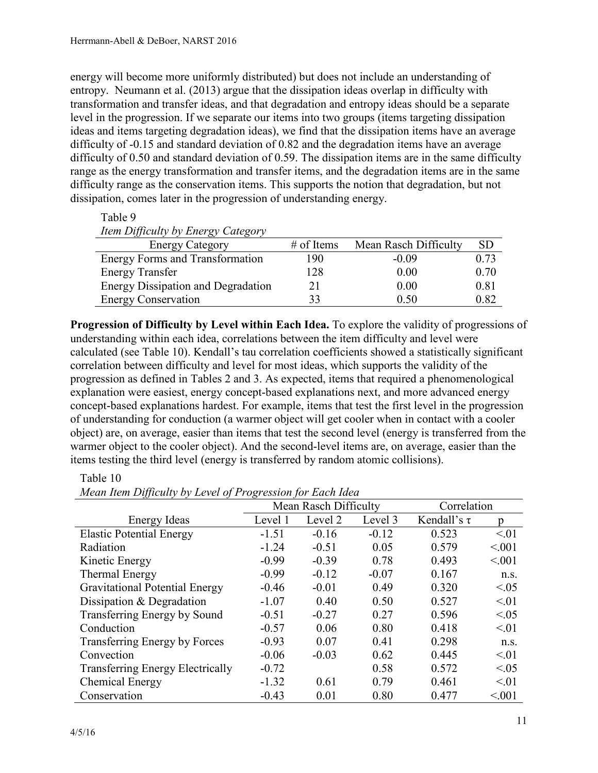energy will become more uniformly distributed) but does not include an understanding of entropy. Neumann et al. (2013) argue that the dissipation ideas overlap in difficulty with transformation and transfer ideas, and that degradation and entropy ideas should be a separate level in the progression. If we separate our items into two groups (items targeting dissipation ideas and items targeting degradation ideas), we find that the dissipation items have an average difficulty of -0.15 and standard deviation of 0.82 and the degradation items have an average difficulty of 0.50 and standard deviation of 0.59. The dissipation items are in the same difficulty range as the energy transformation and transfer items, and the degradation items are in the same difficulty range as the conservation items. This supports the notion that degradation, but not dissipation, comes later in the progression of understanding energy.

| lable 9                                   |              |                       |           |  |  |
|-------------------------------------------|--------------|-----------------------|-----------|--|--|
| Item Difficulty by Energy Category        |              |                       |           |  |  |
| <b>Energy Category</b>                    | $#$ of Items | Mean Rasch Difficulty | <b>SD</b> |  |  |
| <b>Energy Forms and Transformation</b>    | 190          | $-0.09$               | 0.73      |  |  |
| <b>Energy Transfer</b>                    | 128          | 0.00                  | 0.70      |  |  |
| <b>Energy Dissipation and Degradation</b> | 21           | 0.00                  | 0.81      |  |  |
| <b>Energy Conservation</b>                | 33           | 0.50                  | 0.82      |  |  |

**Progression of Difficulty by Level within Each Idea.** To explore the validity of progressions of understanding within each idea, correlations between the item difficulty and level were calculated (see Table 10). Kendall's tau correlation coefficients showed a statistically significant correlation between difficulty and level for most ideas, which supports the validity of the progression as defined in Tables 2 and 3. As expected, items that required a phenomenological explanation were easiest, energy concept-based explanations next, and more advanced energy concept-based explanations hardest. For example, items that test the first level in the progression of understanding for conduction (a warmer object will get cooler when in contact with a cooler object) are, on average, easier than items that test the second level (energy is transferred from the warmer object to the cooler object). And the second-level items are, on average, easier than the items testing the third level (energy is transferred by random atomic collisions).

| Mean Item Difficulty by Level of Progression for Each Idea |                       |         |             |                  |           |
|------------------------------------------------------------|-----------------------|---------|-------------|------------------|-----------|
|                                                            | Mean Rasch Difficulty |         | Correlation |                  |           |
| Energy Ideas                                               | Level 1               | Level 2 | Level 3     | Kendall's $\tau$ | p         |
| <b>Elastic Potential Energy</b>                            | $-1.51$               | $-0.16$ | $-0.12$     | 0.523            | < 01      |
| Radiation                                                  | $-1.24$               | $-0.51$ | 0.05        | 0.579            | < 0.01    |
| Kinetic Energy                                             | $-0.99$               | $-0.39$ | 0.78        | 0.493            | < 0.01    |
| Thermal Energy                                             | $-0.99$               | $-0.12$ | $-0.07$     | 0.167            | n.S.      |
| <b>Gravitational Potential Energy</b>                      | $-0.46$               | $-0.01$ | 0.49        | 0.320            | < 0.05    |
| Dissipation & Degradation                                  | $-1.07$               | 0.40    | 0.50        | 0.527            | < 01      |
| Transferring Energy by Sound                               | $-0.51$               | $-0.27$ | 0.27        | 0.596            | < 0.05    |
| Conduction                                                 | $-0.57$               | 0.06    | 0.80        | 0.418            | < 01      |
| <b>Transferring Energy by Forces</b>                       | $-0.93$               | 0.07    | 0.41        | 0.298            | n.s.      |
| Convection                                                 | $-0.06$               | $-0.03$ | 0.62        | 0.445            | $\leq 01$ |
| <b>Transferring Energy Electrically</b>                    | $-0.72$               |         | 0.58        | 0.572            | <05       |
| Chemical Energy                                            | $-1.32$               | 0.61    | 0.79        | 0.461            | $\leq 01$ |
| Conservation                                               | $-0.43$               | 0.01    | 0.80        | 0.477            | < 0.01    |

Table 10

 $T<sub>1</sub>$ 

*Mean Item Difficulty by Level of Progression for Each Idea*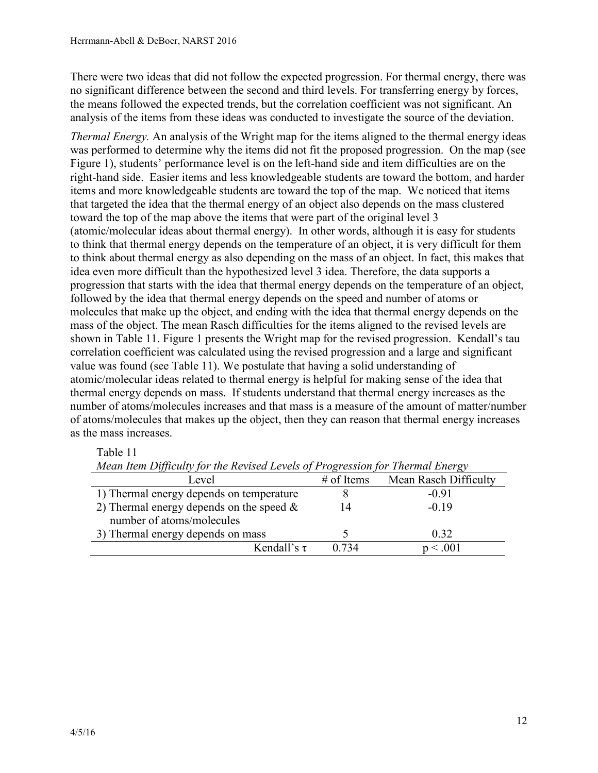There were two ideas that did not follow the expected progression. For thermal energy, there was no significant difference between the second and third levels. For transferring energy by forces, the means followed the expected trends, but the correlation coefficient was not significant. An analysis of the items from these ideas was conducted to investigate the source of the deviation.

*Thermal Energy.* An analysis of the Wright map for the items aligned to the thermal energy ideas was performed to determine why the items did not fit the proposed progression. On the map (see Figure 1), students' performance level is on the left-hand side and item difficulties are on the right-hand side. Easier items and less knowledgeable students are toward the bottom, and harder items and more knowledgeable students are toward the top of the map. We noticed that items that targeted the idea that the thermal energy of an object also depends on the mass clustered toward the top of the map above the items that were part of the original level 3 (atomic/molecular ideas about thermal energy). In other words, although it is easy for students to think that thermal energy depends on the temperature of an object, it is very difficult for them to think about thermal energy as also depending on the mass of an object. In fact, this makes that idea even more difficult than the hypothesized level 3 idea. Therefore, the data supports a progression that starts with the idea that thermal energy depends on the temperature of an object, followed by the idea that thermal energy depends on the speed and number of atoms or molecules that make up the object, and ending with the idea that thermal energy depends on the mass of the object. The mean Rasch difficulties for the items aligned to the revised levels are shown in Table 11. Figure 1 presents the Wright map for the revised progression. Kendall's tau correlation coefficient was calculated using the revised progression and a large and significant value was found (see Table 11). We postulate that having a solid understanding of atomic/molecular ideas related to thermal energy is helpful for making sense of the idea that thermal energy depends on mass. If students understand that thermal energy increases as the number of atoms/molecules increases and that mass is a measure of the amount of matter/number of atoms/molecules that makes up the object, then they can reason that thermal energy increases as the mass increases.

# Table 11

| JJ<br><u>້</u>                                                           |              | $\sim$                |
|--------------------------------------------------------------------------|--------------|-----------------------|
| Level                                                                    | $#$ of Items | Mean Rasch Difficulty |
| 1) Thermal energy depends on temperature                                 |              | $-0.91$               |
| 2) Thermal energy depends on the speed $\&$<br>number of atoms/molecules |              | $-0.19$               |
| 3) Thermal energy depends on mass                                        |              | 0.32                  |
| Kendall's $\tau$                                                         | 0 734        | < 0.001               |

*Mean Item Difficulty for the Revised Levels of Progression for Thermal Energy*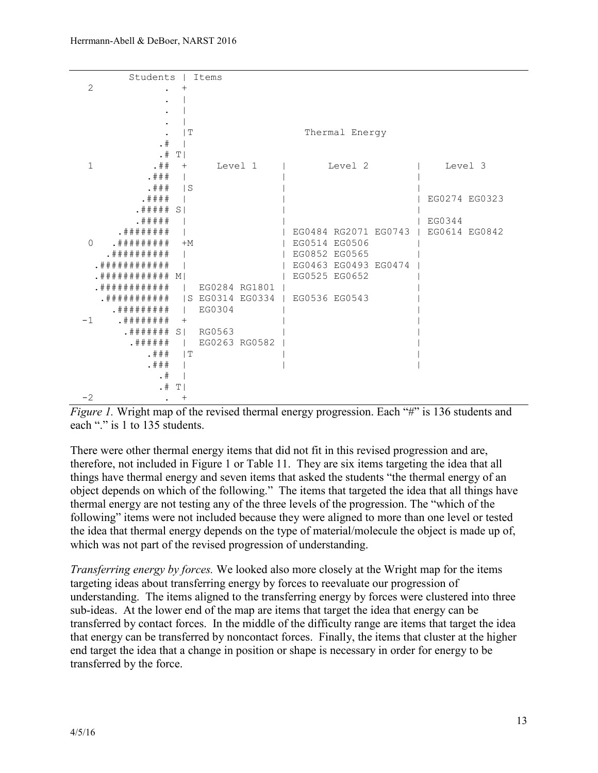

*Figure 1.* Wright map of the revised thermal energy progression. Each "#" is 136 students and each "." is 1 to 135 students.

There were other thermal energy items that did not fit in this revised progression and are, therefore, not included in Figure 1 or Table 11. They are six items targeting the idea that all things have thermal energy and seven items that asked the students "the thermal energy of an object depends on which of the following." The items that targeted the idea that all things have thermal energy are not testing any of the three levels of the progression. The "which of the following" items were not included because they were aligned to more than one level or tested the idea that thermal energy depends on the type of material/molecule the object is made up of, which was not part of the revised progression of understanding.

*Transferring energy by forces.* We looked also more closely at the Wright map for the items targeting ideas about transferring energy by forces to reevaluate our progression of understanding. The items aligned to the transferring energy by forces were clustered into three sub-ideas. At the lower end of the map are items that target the idea that energy can be transferred by contact forces. In the middle of the difficulty range are items that target the idea that energy can be transferred by noncontact forces. Finally, the items that cluster at the higher end target the idea that a change in position or shape is necessary in order for energy to be transferred by the force.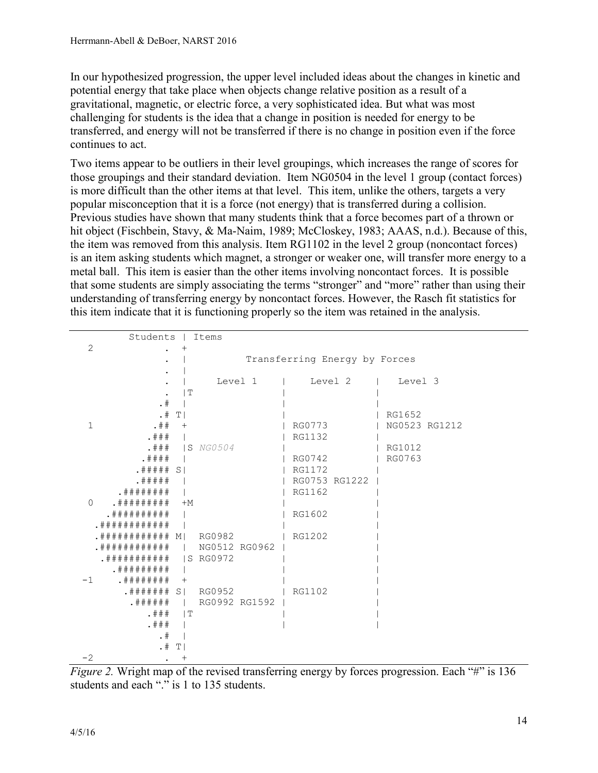In our hypothesized progression, the upper level included ideas about the changes in kinetic and potential energy that take place when objects change relative position as a result of a gravitational, magnetic, or electric force, a very sophisticated idea. But what was most challenging for students is the idea that a change in position is needed for energy to be transferred, and energy will not be transferred if there is no change in position even if the force continues to act.

Two items appear to be outliers in their level groupings, which increases the range of scores for those groupings and their standard deviation. Item NG0504 in the level 1 group (contact forces) is more difficult than the other items at that level. This item, unlike the others, targets a very popular misconception that it is a force (not energy) that is transferred during a collision. Previous studies have shown that many students think that a force becomes part of a thrown or hit object (Fischbein, Stavy, & Ma-Naim, 1989; McCloskey, 1983; AAAS, n.d.). Because of this, the item was removed from this analysis. Item RG1102 in the level 2 group (noncontact forces) is an item asking students which magnet, a stronger or weaker one, will transfer more energy to a metal ball. This item is easier than the other items involving noncontact forces. It is possible that some students are simply associating the terms "stronger" and "more" rather than using their understanding of transferring energy by noncontact forces. However, the Rasch fit statistics for this item indicate that it is functioning properly so the item was retained in the analysis.

|                | Students   Items                             |                           |                   |               |               |
|----------------|----------------------------------------------|---------------------------|-------------------|---------------|---------------|
| $\overline{2}$ |                                              |                           |                   |               |               |
|                | Transferring Energy by Forces                |                           |                   |               |               |
|                |                                              |                           |                   |               |               |
|                |                                              |                           | Level 1           | Level 2       | Level 3       |
|                |                                              | $\mathsf{L}^{\mathsf{L}}$ |                   |               |               |
|                | .  #                                         |                           |                   |               |               |
|                |                                              | .  # T <sub>1</sub>       |                   |               | RG1652        |
| $\mathbf{1}$   | $. # # +$                                    |                           |                   | RG0773        | NG0523 RG1212 |
|                | . # ##                                       |                           |                   | RG1132        |               |
|                |                                              |                           | . # # # IS NG0504 |               | RG1012        |
|                | . # # # #                                    |                           |                   | RG0742        | RG0763        |
|                | . # # # # S1                                 |                           |                   | RG1172        |               |
|                | . # # # # #                                  |                           |                   | RG0753 RG1222 |               |
|                | . # # # # # # #                              |                           |                   | RG1162        |               |
| $\Omega$       | . # # # # # # # #                            | $+M$                      |                   |               |               |
|                | . # # # # # # # # #                          |                           |                   | RG1602        |               |
|                | . # # # # # # # # # # #                      |                           |                   |               |               |
|                | . # # # # # # # # # # # # # # # # # # RG0982 |                           |                   | RG1202        |               |
|                | . # # # # # # # # # # #                      |                           | NG0512 RG0962     |               |               |
|                | . # # # # # # # # # #                        |                           | IS RG0972         |               |               |
|                | . # # # # # # # #                            |                           |                   |               |               |
| $-1$           | . # # # # # # # #                            | $^{+}$                    |                   |               |               |
|                | .####### S  RG0952                           |                           |                   | RG1102        |               |
|                | . # # # # # #                                |                           | RG0992 RG1592     |               |               |
|                | . # # #                                      | $\Box$                    |                   |               |               |
|                | . # ##                                       |                           |                   |               |               |
|                | $. \#$                                       |                           |                   |               |               |
|                | $. \#$                                       | T                         |                   |               |               |
| $-2$           |                                              | $^{+}$                    |                   |               |               |

*Figure 2.* Wright map of the revised transferring energy by forces progression. Each "#" is 136 students and each "." is 1 to 135 students.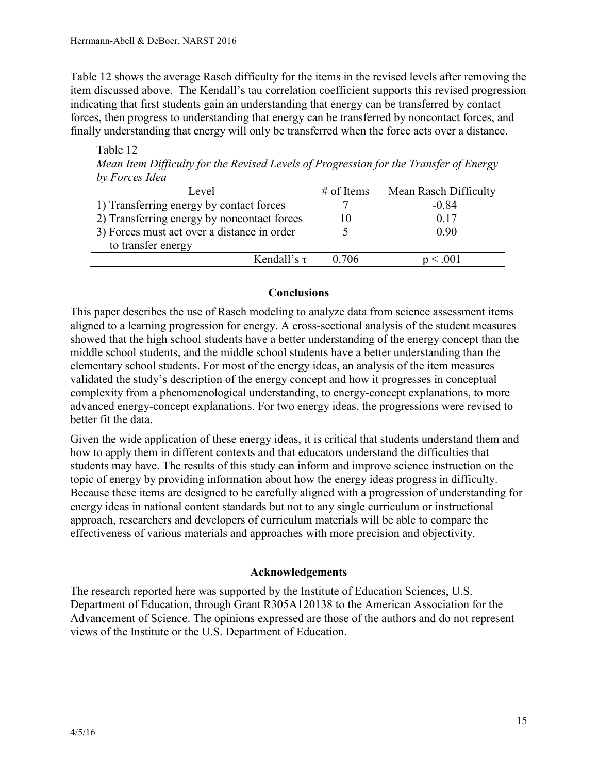Table 12 shows the average Rasch difficulty for the items in the revised levels after removing the item discussed above. The Kendall's tau correlation coefficient supports this revised progression indicating that first students gain an understanding that energy can be transferred by contact forces, then progress to understanding that energy can be transferred by noncontact forces, and finally understanding that energy will only be transferred when the force acts over a distance.

Table 12 *Mean Item Difficulty for the Revised Levels of Progression for the Transfer of Energy by Forces Idea*

| Level                                       | $#$ of Items | Mean Rasch Difficulty |
|---------------------------------------------|--------------|-----------------------|
| 1) Transferring energy by contact forces    |              | $-0.84$               |
| 2) Transferring energy by noncontact forces | 10           | 0.17                  |
| 3) Forces must act over a distance in order |              | 0.90                  |
| to transfer energy                          |              |                       |
| Kendall's $\tau$                            | 0.706        | < 001                 |

### **Conclusions**

This paper describes the use of Rasch modeling to analyze data from science assessment items aligned to a learning progression for energy. A cross-sectional analysis of the student measures showed that the high school students have a better understanding of the energy concept than the middle school students, and the middle school students have a better understanding than the elementary school students. For most of the energy ideas, an analysis of the item measures validated the study's description of the energy concept and how it progresses in conceptual complexity from a phenomenological understanding, to energy-concept explanations, to more advanced energy-concept explanations. For two energy ideas, the progressions were revised to better fit the data.

Given the wide application of these energy ideas, it is critical that students understand them and how to apply them in different contexts and that educators understand the difficulties that students may have. The results of this study can inform and improve science instruction on the topic of energy by providing information about how the energy ideas progress in difficulty. Because these items are designed to be carefully aligned with a progression of understanding for energy ideas in national content standards but not to any single curriculum or instructional approach, researchers and developers of curriculum materials will be able to compare the effectiveness of various materials and approaches with more precision and objectivity.

# **Acknowledgements**

The research reported here was supported by the Institute of Education Sciences, U.S. Department of Education, through Grant R305A120138 to the American Association for the Advancement of Science. The opinions expressed are those of the authors and do not represent views of the Institute or the U.S. Department of Education.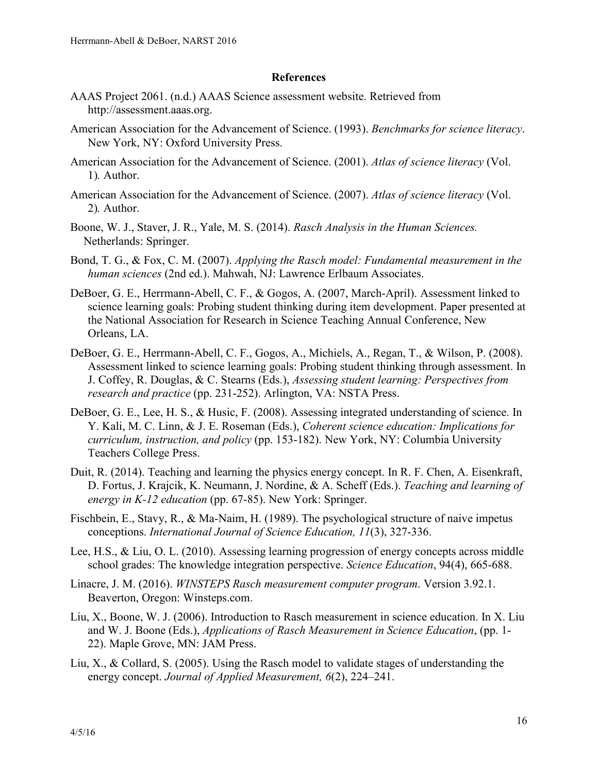#### **References**

- AAAS Project 2061. (n.d.) AAAS Science assessment website. Retrieved from http://assessment.aaas.org.
- American Association for the Advancement of Science. (1993). *Benchmarks for science literacy*. New York, NY: Oxford University Press.
- American Association for the Advancement of Science. (2001). *Atlas of science literacy* (Vol. 1)*.* Author.
- American Association for the Advancement of Science. (2007). *Atlas of science literacy* (Vol. 2)*.* Author.
- Boone, W. J., Staver, J. R., Yale, M. S. (2014). *Rasch Analysis in the Human Sciences.* Netherlands: Springer.
- Bond, T. G., & Fox, C. M. (2007). *Applying the Rasch model: Fundamental measurement in the human sciences* (2nd ed.). Mahwah, NJ: Lawrence Erlbaum Associates.
- DeBoer, G. E., Herrmann-Abell, C. F., & Gogos, A. (2007, March-April). Assessment linked to science learning goals: Probing student thinking during item development. Paper presented at the National Association for Research in Science Teaching Annual Conference, New Orleans, LA.
- DeBoer, G. E., Herrmann-Abell, C. F., Gogos, A., Michiels, A., Regan, T., & Wilson, P. (2008). Assessment linked to science learning goals: Probing student thinking through assessment. In J. Coffey, R. Douglas, & C. Stearns (Eds.), *Assessing student learning: Perspectives from research and practice* (pp. 231-252). Arlington, VA: NSTA Press.
- DeBoer, G. E., Lee, H. S., & Husic, F. (2008). Assessing integrated understanding of science. In Y. Kali, M. C. Linn, & J. E. Roseman (Eds.), *Coherent science education: Implications for curriculum, instruction, and policy* (pp. 153-182). New York, NY: Columbia University Teachers College Press.
- Duit, R. (2014). Teaching and learning the physics energy concept. In R. F. Chen, A. Eisenkraft, D. Fortus, J. Krajcik, K. Neumann, J. Nordine, & A. Scheff (Eds.). *Teaching and learning of energy in K-12 education* (pp. 67-85). New York: Springer.
- Fischbein, E., Stavy, R., & Ma-Naim, H. (1989). The psychological structure of naive impetus conceptions. *International Journal of Science Education, 11*(3), 327-336.
- Lee, H.S., & Liu, O. L. (2010). Assessing learning progression of energy concepts across middle school grades: The knowledge integration perspective. *Science Education*, 94(4), 665-688.
- Linacre, J. M. (2016). *WINSTEPS Rasch measurement computer program*. Version 3.92.1. Beaverton, Oregon: Winsteps.com.
- Liu, X., Boone, W. J. (2006). Introduction to Rasch measurement in science education. In X. Liu and W. J. Boone (Eds.), *Applications of Rasch Measurement in Science Education*, (pp. 1- 22). Maple Grove, MN: JAM Press.
- Liu, X., & Collard, S. (2005). Using the Rasch model to validate stages of understanding the energy concept. *Journal of Applied Measurement, 6*(2), 224–241.